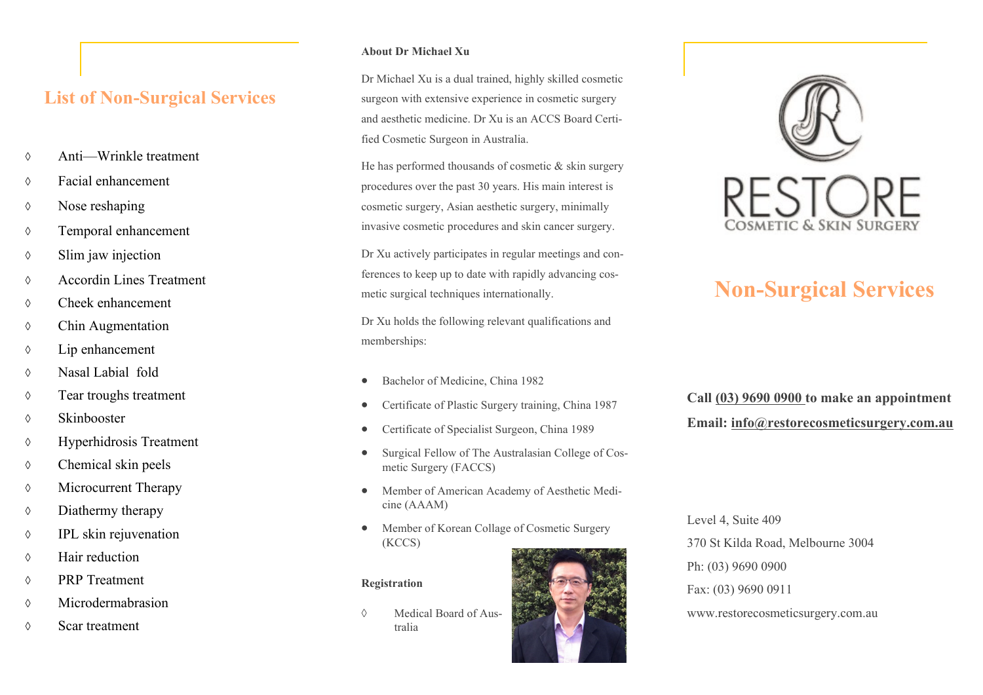# **List of Non-Surgical Services**

- Anti—Wrinkle treatment
- Facial enhancement
- $\Diamond$  Nose reshaping
- Temporal enhancement
- $\Diamond$  Slim jaw injection
- Accordin Lines Treatment
- Cheek enhancement
- Chin Augmentation
- Lip enhancement
- Nasal Labial fold
- Tear troughs treatment
- Skinbooster
- Hyperhidrosis Treatment
- Chemical skin peels
- Microcurrent Therapy
- $\Diamond$  Diathermy therapy
- IPL skin rejuvenation
- $\Diamond$  Hair reduction
- PRP Treatment
- Microdermabrasion
- Scar treatment

#### **About Dr Michael Xu**

Dr Michael Xu is a dual trained, highly skilled cosmetic surgeon with extensive experience in cosmetic surgery and aesthetic medicine. Dr Xu is an ACCS Board Certified Cosmetic Surgeon in Australia.

He has performed thousands of cosmetic & skin surgery procedures over the past 30 years. His main interest is cosmetic surgery, Asian aesthetic surgery, minimally invasive cosmetic procedures and skin cancer surgery.

Dr Xu actively participates in regular meetings and conferences to keep up to date with rapidly advancing cosmetic surgical techniques internationally.

Dr Xu holds the following relevant qualifications and memberships:

- Bachelor of Medicine, China 1982
- Certificate of Plastic Surgery training, China 1987
- Certificate of Specialist Surgeon, China 1989
- Surgical Fellow of The Australasian College of Cosmetic Surgery (FACCS)
- Member of American Academy of Aesthetic Medicine (AAAM)
- Member of Korean Collage of Cosmetic Surgery (KCCS)

#### **Registration**

 Medical Board of Australia





# **Non-Surgical Services**

# **Call (03) 9690 0900 to make an appointment Email: info@restorecosmeticsurgery.com.au**

Level 4, Suite 409 370 St Kilda Road, Melbourne 3004 Ph: (03) 9690 0900 Fax: (03) 9690 0911 www.restorecosmeticsurgery.com.au